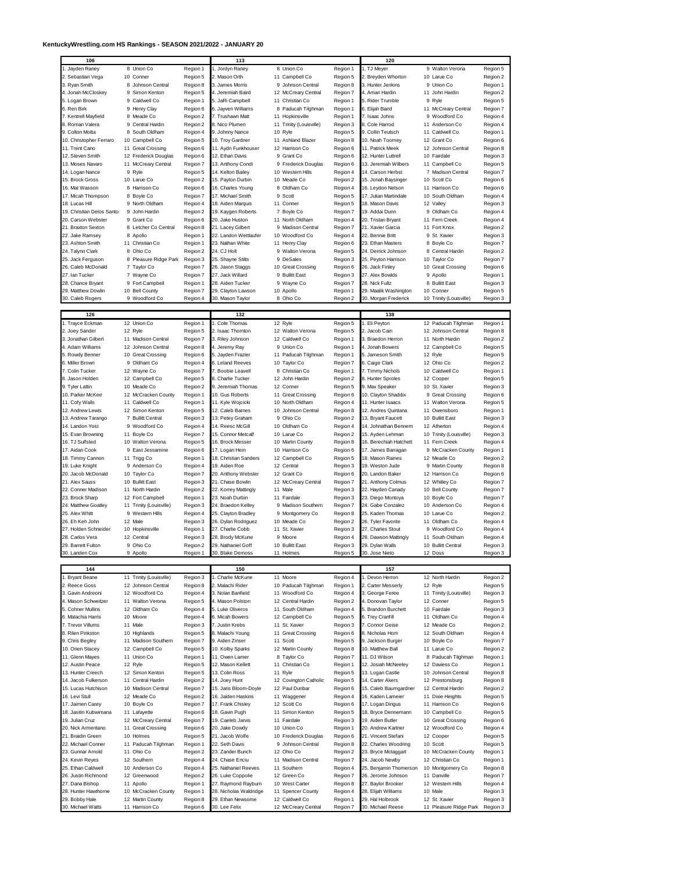## **KentuckyWrestling.com HS Rankings - SEASON 2021/2022 - JANUARY 20**

|                                     |                                         |                      | 113                                |                                       |                      | 120                                   |                                         |                      |
|-------------------------------------|-----------------------------------------|----------------------|------------------------------------|---------------------------------------|----------------------|---------------------------------------|-----------------------------------------|----------------------|
| 1. Jayden Raney                     | 8 Union Co                              | Region 1             | . Jordyn Raney                     | 8 Union Co                            | Region 1             | 1. TJ Meyer                           | 9 Walton Verona                         | Region 5             |
| 2. Sebastian Vega                   | 10 Conner                               | Region 5             | . Mason Orth                       | 11 Campbell Co                        | Region 5             | 2. Breyden Whorton                    | 10 Larue Co                             | Region 2             |
| 3. Ryan Smith                       | 8 Johnson Central                       | Region 8             | 3. James Morris                    | 9<br>Johnson Central                  | Region 8             | 3. Hunter Jenkins                     | 9 Union Co                              | Region 1             |
| 4. Jonah McCloskey                  | 9 Simon Kenton                          | Region 5             | I. Jeremiah Baird                  | 12 McCreary Central                   | Region 7             | 4. Amari Hardin                       | 11 John Hardin                          | Region 2             |
| 5. Logan Brown                      | 9 Caldwell Co                           | Region 1             | 5. JaRi Campbell                   | 11 Christian Co                       | Region 1             | 5. Rider Trumble                      | 9 Ryle                                  | Region 5             |
| 6. Ren Birk                         | 9 Henry Clay                            | Region 6             | 3. Jayven Williams                 | 8 Paducah Tilghman                    | Region 1             | 6. Elijah Baird                       | 11 McCreary Central                     | Region 7             |
| 7. Kentrell Mayfield                | 8 Meade Co                              | Region 2             | 7. Trushawn Matt                   | 11 Hopkinsville                       | Region 1             | 7. Isaac Johns                        | 9 Woodford Co                           | Region 4             |
| 8. Roman Valera                     | 9 Central Hardin                        | Region 2             | 3. Nico Plumeri                    | 11 Trinity (Louisville)               | Region 3             | 8. Cole Harrod                        | 11 Anderson Co                          | Region 4             |
| 9. Colton Motta                     | 8 South Oldham                          | Region 4             | 3. Johnny Nance                    | 10 Ryle                               | Region 5             | 9. Collin Teutsch                     | 11 Caldwell Co                          | Region 1             |
| 10. Christopher Ferraro             | 10 Campbell Co                          | Region 5             | 0. Troy Gardner                    | 11 Ashland Blazer                     | Region 8             | 10. Noah Toomey                       | 12 Grant Co                             | Region 6             |
| 11. Trent Cano                      | 11 Great Crossing                       | Region 6             | 1. Aydn Funkhouser                 | 12 Harrison Co                        | Region 6             | 11. Patrick Meek                      | 12 Johnson Central                      | Region 8             |
| 12. Steven Smith                    | 12 Frederick Douglas                    | Region 6             | 2. Ethan Davis                     | 9<br>Grant Co                         | Region 6             | 12. Hunter Luttrell                   | 10 Fairdale                             | Region 3             |
| 13. Moses Navaro                    | 11 McCreary Central                     | Region 7             | 3. Anthony Condi                   | 9 Frederick Douglas                   | Region 6             | 13. Jeremiah Wilbers                  | 11 Campbell Co                          | Region 5             |
| 14. Logan Nance                     | 9 Ryle                                  | Region 5             | 4. Kelton Bailey                   | 10 Western Hills                      | Region 4             | 14. Carson Herbst                     | 7 Madison Central                       | Region 7             |
| 15. Brock Gross                     | 10 Larue Co                             | Region 2             | 5. Payton Durbin                   | 10 Meade Co                           | Region 2             | 15. Jonah Baysinger                   | 10 Scott Co                             | Region 6             |
| 16. Mat Wasson                      | 8 Harrison Co                           | Region 6             | 6. Charles Young                   | 8 Oldham Co                           | Region 4             | 16. Levdon Nelson                     | 11 Harrison Co                          | Region 6             |
| 17. Micah Thompson                  | 8 Boyle Co                              | Region 7             | 7. Michael Smith                   | 9 Scott                               | Region 5             | 17. Julian Martindale                 | 10 South Oldham                         | Region 4             |
| 18. Lucas Hill                      | 9 North Oldham                          | Region 4             | 8. Aiden Marquis                   | 11 Conner                             | Region 5             | 18. Mason Davis                       | 12 Valley                               | Region 3             |
| 19. Christian Delos Santo:          | 9 John Hardin                           | Region 2             | 9. Kaygen Roberts                  | 7 Boyle Co                            | Region 7             | 19. Addai Dunn                        | 9 Oldham Co                             | Region 4             |
| 20. Carson Webster                  | 9 Grant Co                              | Region 6             | 20. Jake Huston                    | 11 North Oldham                       | Region 4             | 20. Tristan Bryant                    | 11 Fem Creek                            | Region 4             |
| 21. Braxton Sexton                  | 8 Letcher Co Central                    | Region 8             | 21. Lacey Gilbert                  | 9 Madison Central                     | Region 7             | 21. Xavier Garcia                     | 11 Fort Knox                            | Region 2             |
| 22. Jake Ramsey                     | 8 Apollo                                | Region 1             | 22. Landon Wettlaufer              | 10 Woodford Co                        | Region 4             | 22. Bennie Britt                      | 9 St. Xavier                            | Region 3             |
| 23. Ashton Smith                    | 11 Christian Co                         | Region 1             | 23. Nathan White                   | 11 Henry Clay                         | Region 6             | 23. Ethan Masters                     | 8 Boyle Co                              | Region 7             |
| 24. Talynn Clark                    | 8 Ohio Co                               | Region 2             | 24. CJ Holt                        | 9 Walton Verona                       | Region 5             | 24. Derrick Johnson                   | 8 Central Hardin                        | Region 2             |
| 25. Jack Ferguson                   | 8 Pleasure Ridge Park                   | Region 3             | 25. Shayne Stilts                  | 9 DeSales                             | Region 3             | 25. Peyton Harrison                   | 10 Taylor Co                            | Region 7             |
| 26. Caleb McDonald                  | 7 Taylor Co                             | Region 7             | 26. Jaxon Staggs                   | 10 Great Crossing                     | Region 6             | 26. Jack Finley                       | 10 Great Crossing                       | Region 6             |
| 27. Ian Tucker                      | 7 Wayne Co                              | Region 7             | 27. Jack Willard                   | 9 Bullitt East                        | Region 3             | 27. Alex Bowlds                       | 9 Apollo                                | Region 1             |
| 28. Chance Bryant                   | 9 Fort Campbell                         | Region 1             | 28. Aiden Tucker                   | 9 Wayne Co                            | Region 7             | 28. Nick Fultz                        | 8 Bullitt East                          | Region 3             |
| 29. Matthew Dowlin                  | 10 Bell County                          | Region 7             | 29. Clayton Lawson                 | 10 Apollo                             | Region 1             | 29. Maalik Washington                 | 10 Conner                               | Region 5             |
| 30. Caleb Rogers                    | 9 Woodford Co                           | Region 4             | 30. Mason Taylor                   | 8 Ohio Co                             | Region 2             | 30. Morgan Frederick                  | 10 Trinity (Louisville)                 | Region 3             |
|                                     |                                         |                      |                                    |                                       |                      |                                       |                                         |                      |
| 126                                 |                                         |                      | 132                                |                                       |                      | 138                                   |                                         |                      |
| 1. Trayce Eckman                    | 12 Union Co                             | Region 1             | Cole Thomas                        | 12 Ryle                               | Region 5             | 1. Eli Peyton                         | 12 Paducah Tilghman                     | Region 1             |
| 2. Joey Sander                      | 12 Ryle                                 | Region 5             | . Isaac Thornton                   | 12 Walton Verona                      | Region 5             | 2. Jacob Cain                         | 12 Johnson Central                      | Region 8             |
| 3. Jonathan Gilbert                 | 11 Madison Central                      | Region 7             | 3. Riley Johnson                   | 12 Caldwell Co                        | Region 1             | 3. Braedon Herron                     | 11 North Hardin                         | Region 2             |
| 4. Adam Williams                    | 12 Johnson Central                      | Region 8             | . Jeremy Ray                       | 9 Union Co                            | Region 1             | 4. Jonah Bowers                       | 12 Campbell Co                          | Region 5             |
| 5. Rowdy Benner                     | 10 Great Crossing                       | Region 6             | 5. Jayden Frazier                  | 11 Paducah Tilghman                   | Region 1             | 5. Jameson Smith                      | 12 Ryle                                 | Region 5             |
| 6. Miller Brown                     | 9<br>Oldham Co                          | Region 4             | 6. Leland Reeves                   | 10 Taylor Co                          | Region 7             | 6. Caige Clark                        | 12 Ohio Co                              | Region 2             |
| 7. Colin Tucker                     | 12 Wayne Co                             | Region 7             | . Boobie Leavell                   | 8 Christian Co                        | Region 1             | 7. Timmy Nichols                      | 10 Caldwell Co                          | Region 1             |
| 8. Jason Holden                     | 12 Campbell Co                          | Region 5             | 3. Charlie Tucker                  | 12 John Hardin                        | Region 2             | 8. Hunter Sproles                     | 12 Cooper                               | Region 5             |
| 9. Tyler Lattin                     | 10 Meade Co                             | Region 2             | . Jeremiah Thomas                  | 12 Conner                             | Region 5             | 9. Max Speaker                        | 10 St. Xavier                           | Region 3             |
| 10. Parker McKee                    | 12 McCracken County                     | Region 1             | 0. Gus Roberts                     | 11 Great Crossing                     | Region 6             | 10. Clayton Shaddix                   | 9 Great Crossing                        | Region 6             |
| 11. Cofy Walls                      | Caldwell Co<br>11                       | Region 1             | 1. Kyle Wojcicki                   | 10 North Oldham                       | Region 4             | 11. Hunter Isaacs                     | 11 Walton Verona                        | Region 5             |
|                                     |                                         |                      |                                    |                                       |                      |                                       |                                         |                      |
| 12. Andrew Lewis                    | 12 Simon Kenton                         | Region 5             | 2. Caleb Barnes                    | 10 Johnson Central                    | Region 8             | 12. Andres Quintana                   | 11 Owensboro                            | Region 1             |
| 13. Andrew Tarango                  | 7 Bullitt Central                       | Region 3             | 3. Petey Graham                    | 9 Ohio Co                             | Region 2             | 13. Bryant Faucett                    | 10 Bullitt East                         | Region 3             |
| 14. Landon Yost                     | 9 Woodford Co                           | Region 4             | 4. Reesc McGill                    | 10 Oldham Co                          | Region 4             | 14. Johnathan Bennem                  | 12 Atherton                             | Region 4             |
| 15. Evan Browning                   | 11 Boyle Co                             | Region 7             | 5. Connor Metcalf                  | 10 Larue Co                           | Region 2             | 15. Ayden Lehman                      | 10 Trinity (Louisville)                 | Region 3             |
| 16. TJ Sulfsted                     | 10 Walton Verona                        | Region 5             | 6. Brock Messer                    | 10 Martin County                      | Region 8             | 6. Berechiah Hatchett                 | 11 Fem Creek                            | Region 4             |
| 17. Aidan Cook                      | 9 East Jessamine                        | Region 6             | 7. Logan Hein                      | 10 Harrison Co                        | Region 6             | 17. James Barragan                    | 9 McCracken County                      | Region 1             |
|                                     |                                         |                      |                                    |                                       |                      |                                       |                                         |                      |
| 18. Timmy Cannon                    | 11 Trigg Co                             | Region 1             | 8. Christian Sanders               | 12 Campbell Co                        | Region 5             | 18. Mason Raines                      | 12 Meade Co                             | Region 2             |
| 19. Luke Knight                     | 9 Anderson Co                           | Region 4             | 9. Aiden Roe                       | 12 Central                            | Region 3             | 19. Weston Jude                       | 9 Martin County                         | Region 8             |
| 20. Jacob McDonald                  | 10 Taylor Co                            | Region 7             | 20. Anthony Webster                | 12 Grant Co                           | Region 6             | 20. Landon Baker                      | 12 Harrison Co                          | Region 6             |
| 21. Alex Sauss                      | 10 Bullitt East                         | Region 3             | 21. Chase Bowlin                   | 12 McCreary Central                   | Region 7             | 21. Anthony Colmus                    | 12 Whitley Co                           | Region 7             |
| 22. Conner Madison                  | 11 North Hardin                         | Region 2             | 22. Korrey Mattingly               | 11 Male                               | Region 3             | 22. Hayden Canady                     | 10 Bell County                          | Region 7             |
| 23. Brock Sharp                     | 12 Fort Campbell                        | Region 1             | 23. Noah Durbin                    | 11 Fairdale                           | Region 3             | 23. Diego Montoya                     | 10 Boyle Co                             | Region 7             |
| 24. Matthew Goatley                 | Trinity (Louisville)<br>11              | Region 3             | 24. Braedon Kelley                 | 9 Madison Southern                    | Region 7             | 24. Gabe Conzalez                     | 10 Anderson Co                          | Region 4             |
| 25. Alex Whitt                      | 9 Western Hills                         | Region 4             | 25. Clayton Bradley                | 9 Montgomery Co                       | Region 8             | 25. Kaden Thomas                      | 10 Larue Co                             | Region 2             |
| 26. Eh Keh John                     | 12 Male                                 | Region 3             | 26. Dylan Rodriguez                | 10 Meade Co                           | Region 2             | 26. Tyler Favorite                    | 11 Oldham Co                            | Region 4             |
| 27. Holden Schneider                | 10 Hopkinsville                         | Region 1             | 27. Charlie Cobb                   | 11 St. Xavier                         | Region 3             | 27. Charles Stout                     | 9 Woodford Co                           | Region 4             |
| 28. Carlos Vera                     | 12 Central                              | Region 3             | 28. Brody McKune                   | 9 Moore                               | Region 4             | 28. Dawson Mattingly                  | 11 South Oldham                         | Region 4             |
| 29. Barrett Fulton                  | 9 Ohio Co                               | Region 2             | 29. Nathaniel Goff                 | 10 Bullitt East                       | Region 3             | 29. Dylan Walls                       | 10 Bullitt Central                      | Region 3             |
| 30. Landen Cox                      | 9 Apollo                                | Region 1             | 30. Blake Demoss                   | 11 Holmes                             | Region 5             | 30. Jose Nieto                        | 12 Doss                                 | Region 3             |
|                                     |                                         |                      |                                    |                                       |                      |                                       |                                         |                      |
| 144                                 |                                         |                      | 150                                |                                       |                      | 157                                   |                                         |                      |
| 1. Bryant Beane                     | 11 Trinity (Louisville)                 | Region 3             | . Charlie McKune                   | 11 Moore                              | Region 4             | . Devon Herron                        | 12 North Hardin                         | Region 2             |
| 2. Reece Goss                       | 12 Johnson Central                      | Region 8             | . Malachi Rider                    | 10 Paducah Tilghman                   | Region 1             | 2. Carter Messerly                    | 12 Ryle                                 | Region 5             |
| 3. Gavin Andreoni                   | 12 Woodford Co                          | Region 4             | 3. Nolan Banfield                  | 11 Woodford Co                        | Region 4             | 3. George Feree                       | 11 Trinity (Louisville)                 | Region 3             |
| 4. Mason Schweitzer                 | 11 Walton Verona                        | Region 5             | I. Mason Polston                   | 12 Central Hardin                     | Region 2             | 4. Donovan Taylor                     | 12 Conner                               | Region 5             |
| 5. Cohner Mullins                   | 12 Oldham Co                            | Region 4             | 5. Luke Oliveros                   | 11 South Oldham                       | Region 4             | 5. Brandon Burchett                   | 10 Fairdale                             | Region 3             |
| 6. Malachia Harris                  | 10 Moore                                | Region 4             | S. Micah Bowers                    | 12 Campbell Co                        | Region 5             | 6. Trey Cranfill                      | 11 Oldham Co                            | Region 4             |
| 7. Trevor Villums                   | 11 Male                                 | Region 3             | Justin Krebs                       | 11 St. Xavier                         | Region 3             | 7. Connor Geise                       | 12 Meade Co                             | Region 2             |
| 8. Rilen Pinkston                   | 10 Highlands                            | Region 5             | 3. Malachi Young                   | 11 Great Crossing                     | Region 6             | 8. Nicholas Hom                       | 12 South Oldham                         | Region 4             |
| 9. Chris Begley                     | 11 Madison Southern                     | Region 7             | . Aiden Zinser                     | 11 Scott                              | Region 5             | 9. Jackson Burger                     | 10 Boyle Co                             | Region 7             |
| 10. Orien Stacey                    | 12 Campbell Co                          | Region 5             | 10. Kolby Sparks                   | 12 Martin County                      | Region 8             | 10. Matthew Ball                      | 11 Larue Co                             | Region 2             |
| 11. Glenn Mayes                     | 11 Union Co                             | Region 1             | 1. Owen Lamer                      | 8 Taylor Co                           | Region 7             | 11. DJ Wilson                         | 8 Paducah Tilghman                      | Region 1             |
| 12. Austin Peace                    | 12 Ryle                                 | Region 5             | 2. Mason Kellett                   | 11 Christian Co                       | Region 1             | 12. Josiah McNeeley                   | 12 Daviess Co                           | Region 1             |
| 13. Hunter Creech                   | 12 Simon Kenton                         | Region 5             | 3. Colin Ross                      | 11 Ryle                               | Region 5             | 13. Logan Castle                      | 10 Johnson Central                      | Region 8             |
| 14. Jacob Fulkerson                 | 11 Central Hardin<br>10 Madison Central | Region 2             | 4. Joey Hunt                       | 12 Covington Catholic                 | Region 5             | 14. Carter Akers                      | 12 Prestonsburg                         | Region 8             |
| 15. Lucas Hutchison                 |                                         | Region 7             | 5. Jaris Bloom-Doyle               | 12 Paul Dunbar                        | Region 6             | 15. Caleb Baumgardner                 | 12 Central Hardin                       | Region 2             |
| 16. Levi Stull                      | 12 Meade Co                             | Region 2             | 6. Jaiden Haskins                  | 11 Waggener                           | Region 4             | 16. Kaden Lameier                     | 11 Dixie Heights                        | Region 5             |
| 17. Jaimen Carey                    | 10 Boyle Co                             | Region 7             | 7. Frank Chisley                   | 12 Scott Co                           | Region 6             | 17. Logan Dingus                      | 11 Harrison Co                          | Region 6             |
| 18. Jasitin Kubwimana               | 11 Lafayette                            | Region 6             | 8. Gavin Pugh                      | 11 Simon Kenton                       | Region 5             | 18. Bryce Dennemann                   | 10 Campbell Co                          | Region 5             |
| 19. Julian Cruz                     | 12 McCreary Central                     | Region 7             | 9. Caeleb Jarvis                   | 11 Fairdale                           | Region 3             | 19. Aiden Butler                      | 10 Great Crossing                       | Region 6             |
| 20. Nick Armentano                  | 11 Great Crossing                       | Region 6             | 20. Jake Dowdy                     | 10 Union Co                           | Region 1             | 20. Andrew Kartner                    | 12 Woodford Co                          | Region 4             |
| 21. Braidin Green                   | 10 Holmes                               | Region 5             | 21. Jacob Wolfe                    | 10 Frederick Douglas                  | Region 6             | 21. Vincent Stefani                   | 12 Cooper                               | Region 5             |
| 22. Michael Conner                  | 11 Paducah Tilghman                     | Region 1             | 22. Seth Davis                     | 9 Johnson Central                     | Region 8             | 22. Charles Woodring                  | 10 Scott                                | Region 5             |
| 23. Gunnar Arnold                   | 11 Ohio Co                              | Region 2             | 23. Zander Bunch                   | 12 Ohio Co                            | Region 2             | 23. Bryce Mctaggart                   | 10 McCracken County                     | Region 1             |
| 24. Kevin Reyes                     | 12 Southern                             | Region 4             | 24. Chase Enciu                    | 11 Madison Central                    | Region 7             | 24. Jacob Newby                       | 12 Christian Co                         | Region 1             |
| 25. Ethan Caldwell                  | 10 Anderson Co                          | Region 4             | 25. Nathaniel Reeves               | 11 Southern                           | Region 4             | 25. Benjamin Thomerson                | 10 Montgomery Co                        | Region 8             |
| 26. Justin Richmond                 | 12 Greenwood                            | Region 2             | 26. Luke Coppolie                  | 12 Green Co                           | Region 7             | 26. Jerome Johnson                    | 11 Danville                             | Region 7             |
| 27. Dana Bishop                     | 11 Apollo                               | Region 1             | 27. Raymond Rayburn                | 10 West Carter                        | Region 8             | 27. Baylor Brooker                    | 12 Western Hills                        | Region 4             |
| 28. Hunter Hawthorne                | 10 McCracken County                     | Region 1             | 28. Nicholas Waldridge             | 11 Spencer County                     | Region 4             | 28. Elijah Williams                   | 10 Male                                 | Region 3             |
| 29. Bobby Hale<br>30. Michael Watts | 12 Martin County<br>11 Harrison Co      | Region 8<br>Region 6 | 29. Ethan Newsome<br>30. Lee Felix | 12 Caldwell Co<br>12 McCreary Central | Region 1<br>Region 7 | 29. Hal Holbrook<br>30. Michael Reese | 12 St. Xavier<br>11 Pleasure Ridge Park | Region 3<br>Region 3 |